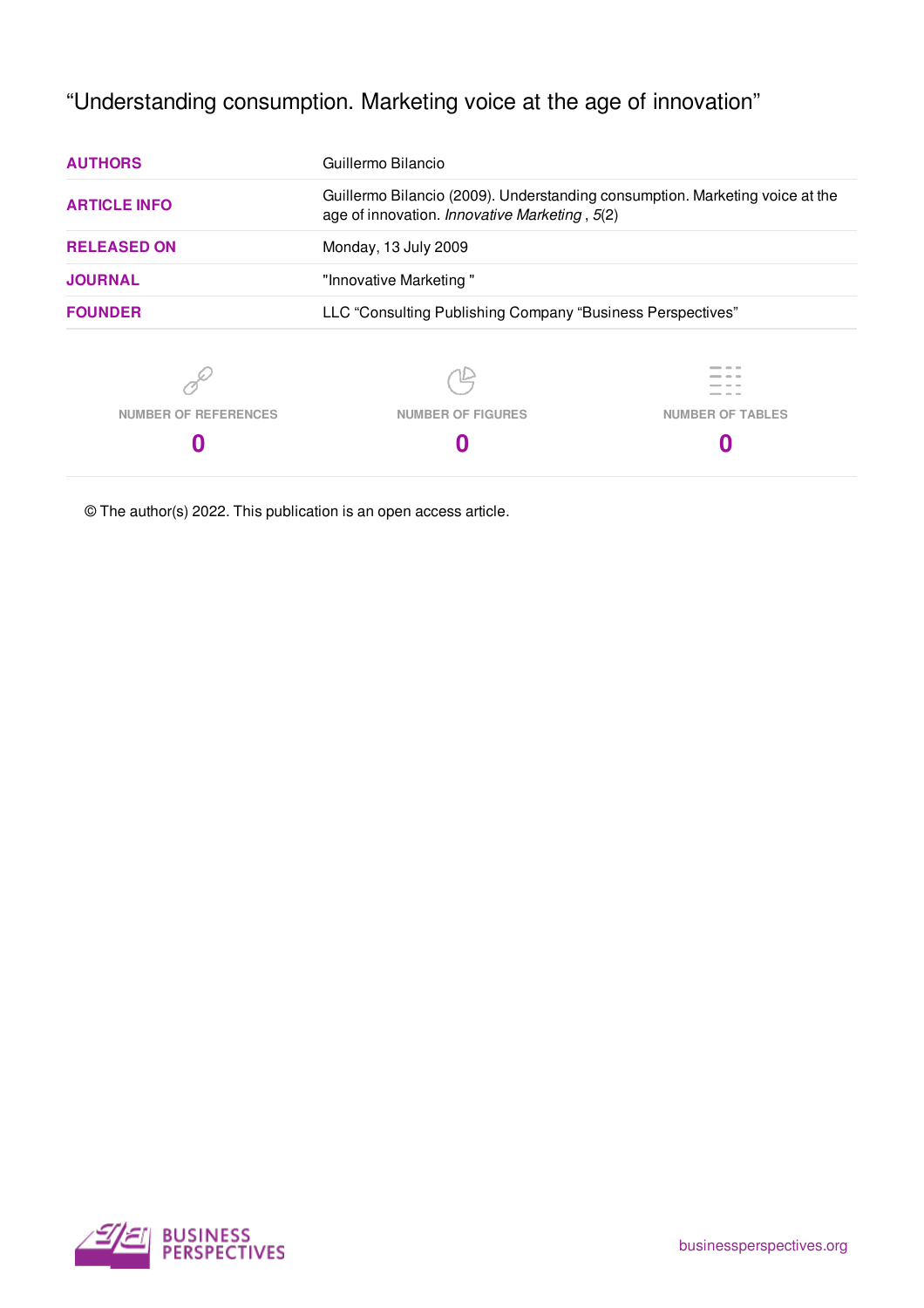# "Understanding consumption. Marketing voice at the age of innovation"

| <b>AUTHORS</b>              | Guillermo Bilancio                                                                                                            |                         |
|-----------------------------|-------------------------------------------------------------------------------------------------------------------------------|-------------------------|
| <b>ARTICLE INFO</b>         | Guillermo Bilancio (2009). Understanding consumption. Marketing voice at the<br>age of innovation. Innovative Marketing, 5(2) |                         |
| <b>RELEASED ON</b>          | Monday, 13 July 2009                                                                                                          |                         |
| <b>JOURNAL</b>              | "Innovative Marketing"                                                                                                        |                         |
| <b>FOUNDER</b>              | LLC "Consulting Publishing Company "Business Perspectives"                                                                    |                         |
|                             |                                                                                                                               |                         |
| <b>NUMBER OF REFERENCES</b> | <b>NUMBER OF FIGURES</b>                                                                                                      | <b>NUMBER OF TABLES</b> |
|                             |                                                                                                                               |                         |
|                             |                                                                                                                               |                         |

© The author(s) 2022. This publication is an open access article.

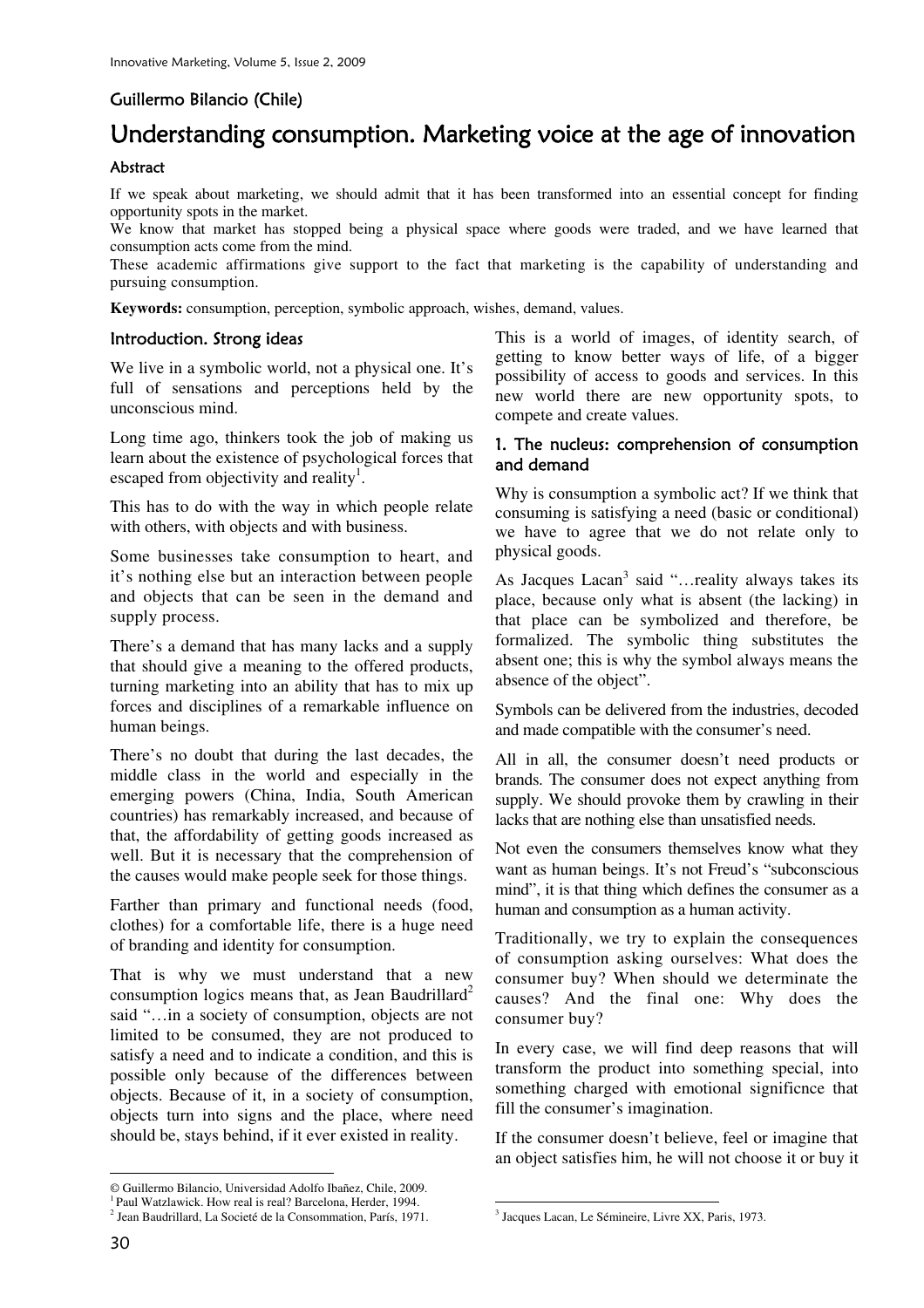## Guillermo Bilancio (Chile)

# Understanding consumption. Marketing voice at the age of innovation

#### Abstract

If we speak about marketing, we should admit that it has been transformed into an essential concept for finding opportunity spots in the market.

We know that market has stopped being a physical space where goods were traded, and we have learned that consumption acts come from the mind.

These academic affirmations give support to the fact that marketing is the capability of understanding and pursuing consumption.

**Keywords:** consumption, perception, symbolic approach, wishes, demand, values.

#### Introduction. Strong ideas

We live in a symbolic world, not a physical one. It's full of sensations and perceptions held by the unconscious mind.

Long time ago, thinkers took the job of making us learn about the existence of psychological forces that escaped from objectivity and reality<sup>1</sup>.

This has to do with the way in which people relate with others, with objects and with business.

Some businesses take consumption to heart, and it's nothing else but an interaction between people and objects that can be seen in the demand and supply process.

There's a demand that has many lacks and a supply that should give a meaning to the offered products, turning marketing into an ability that has to mix up forces and disciplines of a remarkable influence on human beings.

There's no doubt that during the last decades, the middle class in the world and especially in the emerging powers (China, India, South American countries) has remarkably increased, and because of that, the affordability of getting goods increased as well. But it is necessary that the comprehension of the causes would make people seek for those things.

Farther than primary and functional needs (food, clothes) for a comfortable life, there is a huge need of branding and identity for consumption.

That is why we must understand that a new consumption logics means that, as Jean Baudrillard<sup>2</sup> said "…in a society of consumption, objects are not limited to be consumed, they are not produced to satisfy a need and to indicate a condition, and this is possible only because of the differences between objects. Because of it, in a society of consumption, objects turn into signs and the place, where need should be, stays behind, if it ever existed in reality.

This is a world of images, of identity search, of getting to know better ways of life, of a bigger possibility of access to goods and services. In this new world there are new opportunity spots, to compete and create values.

#### 1. The nucleus: comprehension of consumption and demand

Why is consumption a symbolic act? If we think that consuming is satisfying a need (basic or conditional) we have to agree that we do not relate only to physical goods.

As Jacques Lacan<sup>3</sup> said "...reality always takes its place, because only what is absent (the lacking) in that place can be symbolized and therefore, be formalized. The symbolic thing substitutes the absent one; this is why the symbol always means the absence of the object".

Symbols can be delivered from the industries, decoded and made compatible with the consumer's need.

All in all, the consumer doesn't need products or brands. The consumer does not expect anything from supply. We should provoke them by crawling in their lacks that are nothing else than unsatisfied needs.

Not even the consumers themselves know what they want as human beings. It's not Freud's "subconscious mind", it is that thing which defines the consumer as a human and consumption as a human activity.

Traditionally, we try to explain the consequences of consumption asking ourselves: What does the consumer buy? When should we determinate the causes? And the final one: Why does the consumer buy?

In every case, we will find deep reasons that will transform the product into something special, into something charged with emotional significnce that fill the consumer's imagination.

If the consumer doesn't believe, feel or imagine that an object satisfies him, he will not choose it or buy it

 $\ddot{\phantom{a}}$ 

 $\ddot{\phantom{a}}$ 

<sup>©</sup> Guillermo Bilancio, Universidad Adolfo Ibañez, Chile, 2009.

<sup>&</sup>lt;sup>1</sup> Paul Watzlawick. How real is real? Barcelona, Herder, 1994.

<sup>2</sup> Jean Baudrillard, La Societé de la Consommation, París, 1971.

<sup>3</sup> Jacques Lacan, Le Sémineire, Livre XX, Paris, 1973.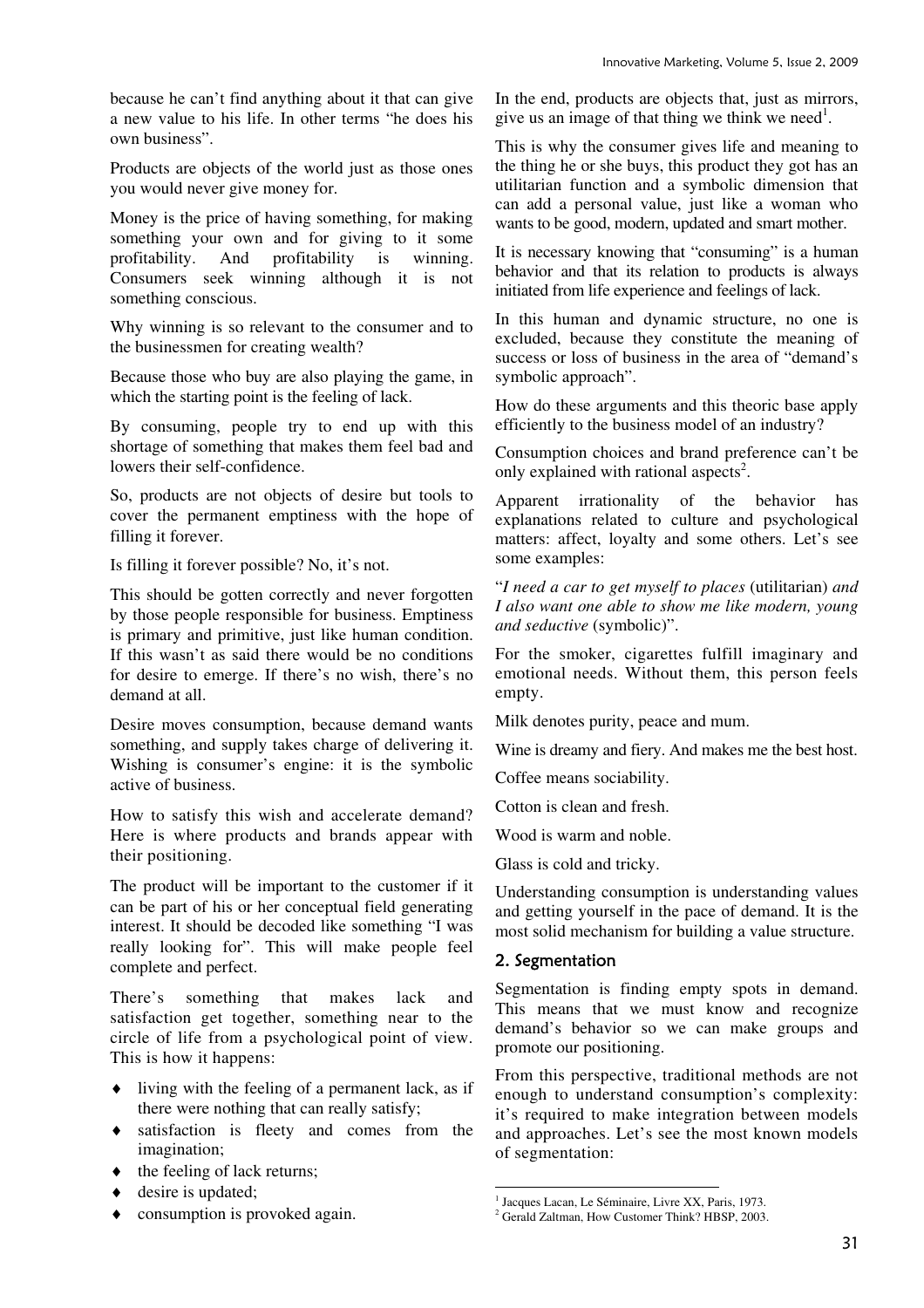because he can't find anything about it that can give a new value to his life. In other terms "he does his own business".

Products are objects of the world just as those ones you would never give money for.

Money is the price of having something, for making something your own and for giving to it some profitability. And profitability is winning. Consumers seek winning although it is not something conscious.

Why winning is so relevant to the consumer and to the businessmen for creating wealth?

Because those who buy are also playing the game, in which the starting point is the feeling of lack.

By consuming, people try to end up with this shortage of something that makes them feel bad and lowers their self-confidence.

So, products are not objects of desire but tools to cover the permanent emptiness with the hope of filling it forever.

Is filling it forever possible? No, it's not.

This should be gotten correctly and never forgotten by those people responsible for business. Emptiness is primary and primitive, just like human condition. If this wasn't as said there would be no conditions for desire to emerge. If there's no wish, there's no demand at all.

Desire moves consumption, because demand wants something, and supply takes charge of delivering it. Wishing is consumer's engine: it is the symbolic active of business.

How to satisfy this wish and accelerate demand? Here is where products and brands appear with their positioning.

The product will be important to the customer if it can be part of his or her conceptual field generating interest. It should be decoded like something "I was really looking for". This will make people feel complete and perfect.

There's something that makes lack and satisfaction get together, something near to the circle of life from a psychological point of view. This is how it happens:

- ♦ living with the feeling of a permanent lack, as if there were nothing that can really satisfy;
- ♦ satisfaction is fleety and comes from the imagination;
- $\bullet$  the feeling of lack returns;
- ♦ desire is updated;
- ♦ consumption is provoked again.

In the end, products are objects that, just as mirrors, give us an image of that thing we think we need<sup>1</sup>.

This is why the consumer gives life and meaning to the thing he or she buys, this product they got has an utilitarian function and a symbolic dimension that can add a personal value, just like a woman who wants to be good, modern, updated and smart mother.

It is necessary knowing that "consuming" is a human behavior and that its relation to products is always initiated from life experience and feelings of lack.

In this human and dynamic structure, no one is excluded, because they constitute the meaning of success or loss of business in the area of "demand's symbolic approach".

How do these arguments and this theoric base apply efficiently to the business model of an industry?

Consumption choices and brand preference can't be only explained with rational aspects<sup>2</sup>.

Apparent irrationality of the behavior has explanations related to culture and psychological matters: affect, loyalty and some others. Let's see some examples:

"*I need a car to get myself to places* (utilitarian) *and I also want one able to show me like modern, young and seductive* (symbolic)".

For the smoker, cigarettes fulfill imaginary and emotional needs. Without them, this person feels empty.

Milk denotes purity, peace and mum.

Wine is dreamy and fiery. And makes me the best host.

Coffee means sociability.

Cotton is clean and fresh.

Wood is warm and noble.

Glass is cold and tricky.

Understanding consumption is understanding values and getting yourself in the pace of demand. It is the most solid mechanism for building a value structure.

#### 2. Segmentation

Segmentation is finding empty spots in demand. This means that we must know and recognize demand's behavior so we can make groups and promote our positioning.

From this perspective, traditional methods are not enough to understand consumption's complexity: it's required to make integration between models and approaches. Let's see the most known models of segmentation:

 $\overline{a}$ <sup>1</sup> Jacques Lacan, Le Séminaire, Livre XX, Paris, 1973.

<sup>&</sup>lt;sup>2</sup> Gerald Zaltman, How Customer Think? HBSP, 2003.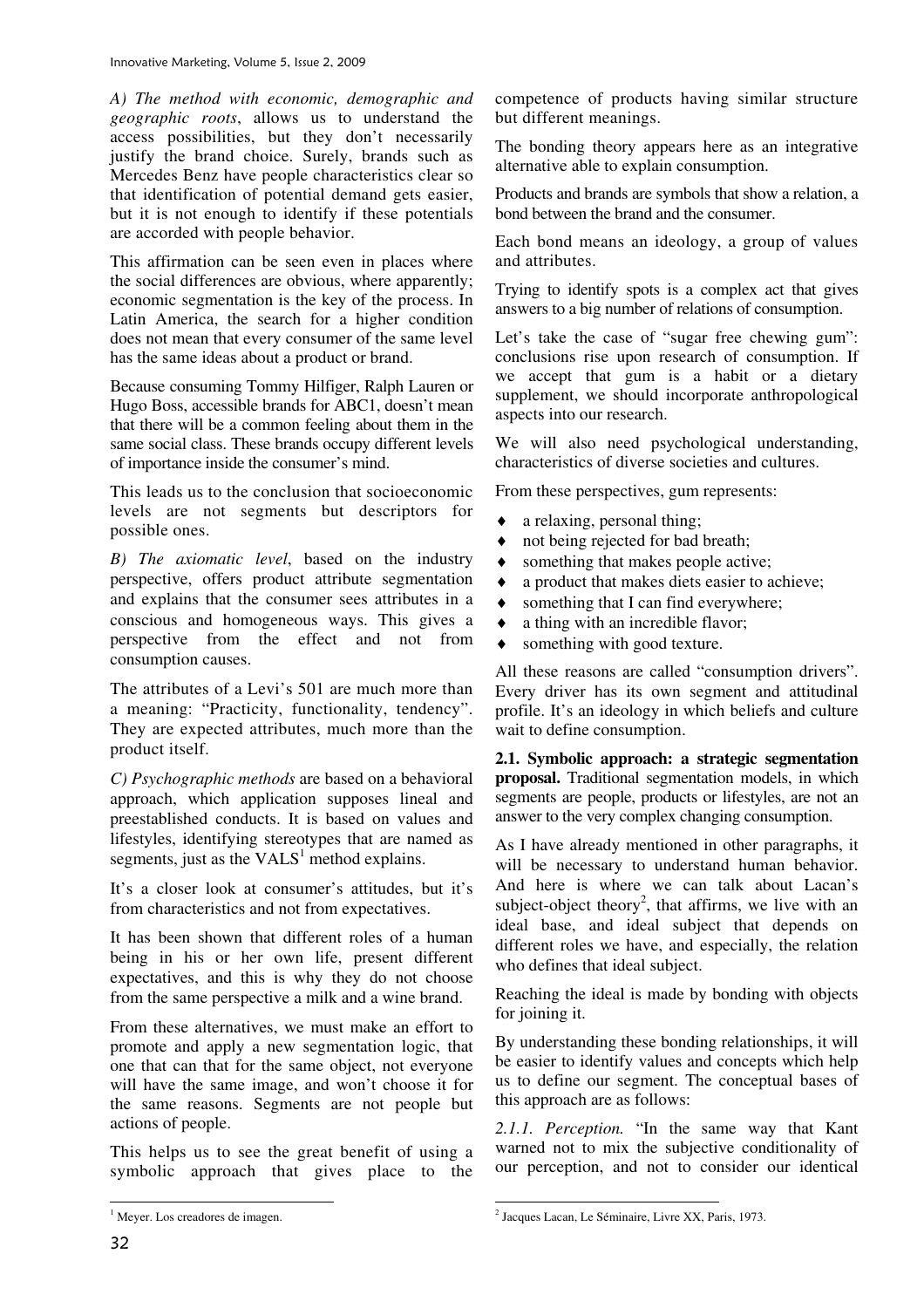*A) The method with economic, demographic and geographic roots*, allows us to understand the access possibilities, but they don't necessarily justify the brand choice. Surely, brands such as Mercedes Benz have people characteristics clear so that identification of potential demand gets easier, but it is not enough to identify if these potentials are accorded with people behavior.

This affirmation can be seen even in places where the social differences are obvious, where apparently; economic segmentation is the key of the process. In Latin America, the search for a higher condition does not mean that every consumer of the same level has the same ideas about a product or brand.

Because consuming Tommy Hilfiger, Ralph Lauren or Hugo Boss, accessible brands for ABC1, doesn't mean that there will be a common feeling about them in the same social class. These brands occupy different levels of importance inside the consumer's mind.

This leads us to the conclusion that socioeconomic levels are not segments but descriptors for possible ones.

*B) The axiomatic level*, based on the industry perspective, offers product attribute segmentation and explains that the consumer sees attributes in a conscious and homogeneous ways. This gives a perspective from the effect and not from consumption causes.

The attributes of a Levi's 501 are much more than a meaning: "Practicity, functionality, tendency". They are expected attributes, much more than the product itself.

*C) Psychographic methods* are based on a behavioral approach, which application supposes lineal and preestablished conducts. It is based on values and lifestyles, identifying stereotypes that are named as segments, just as the  $VALS<sup>1</sup>$  method explains.

It's a closer look at consumer's attitudes, but it's from characteristics and not from expectatives.

It has been shown that different roles of a human being in his or her own life, present different expectatives, and this is why they do not choose from the same perspective a milk and a wine brand.

From these alternatives, we must make an effort to promote and apply a new segmentation logic, that one that can that for the same object, not everyone will have the same image, and won't choose it for the same reasons. Segments are not people but actions of people.

This helps us to see the great benefit of using a symbolic approach that gives place to the competence of products having similar structure but different meanings.

The bonding theory appears here as an integrative alternative able to explain consumption.

Products and brands are symbols that show a relation, a bond between the brand and the consumer.

Each bond means an ideology, a group of values and attributes.

Trying to identify spots is a complex act that gives answers to a big number of relations of consumption.

Let's take the case of "sugar free chewing gum": conclusions rise upon research of consumption. If we accept that gum is a habit or a dietary supplement, we should incorporate anthropological aspects into our research.

We will also need psychological understanding, characteristics of diverse societies and cultures.

From these perspectives, gum represents:

- ♦ a relaxing, personal thing;
- not being rejected for bad breath:
- ♦ something that makes people active;
- ♦ a product that makes diets easier to achieve;
- ♦ something that I can find everywhere;
- ♦ a thing with an incredible flavor;
- ♦ something with good texture.

All these reasons are called "consumption drivers". Every driver has its own segment and attitudinal profile. It's an ideology in which beliefs and culture wait to define consumption.

**2.1. Symbolic approach: a strategic segmentation proposal.** Traditional segmentation models, in which segments are people, products or lifestyles, are not an answer to the very complex changing consumption.

As I have already mentioned in other paragraphs, it will be necessary to understand human behavior. And here is where we can talk about Lacan's subject-object theory<sup>2</sup>, that affirms, we live with an ideal base, and ideal subject that depends on different roles we have, and especially, the relation who defines that ideal subject.

Reaching the ideal is made by bonding with objects for joining it.

By understanding these bonding relationships, it will be easier to identify values and concepts which help us to define our segment. The conceptual bases of this approach are as follows:

*2.1.1. Perception.* "In the same way that Kant warned not to mix the subjective conditionality of our perception, and not to consider our identical

<sup>&</sup>lt;sup>1</sup> Meyer. Los creadores de imagen.

 2 Jacques Lacan, Le Séminaire, Livre XX, Paris, 1973.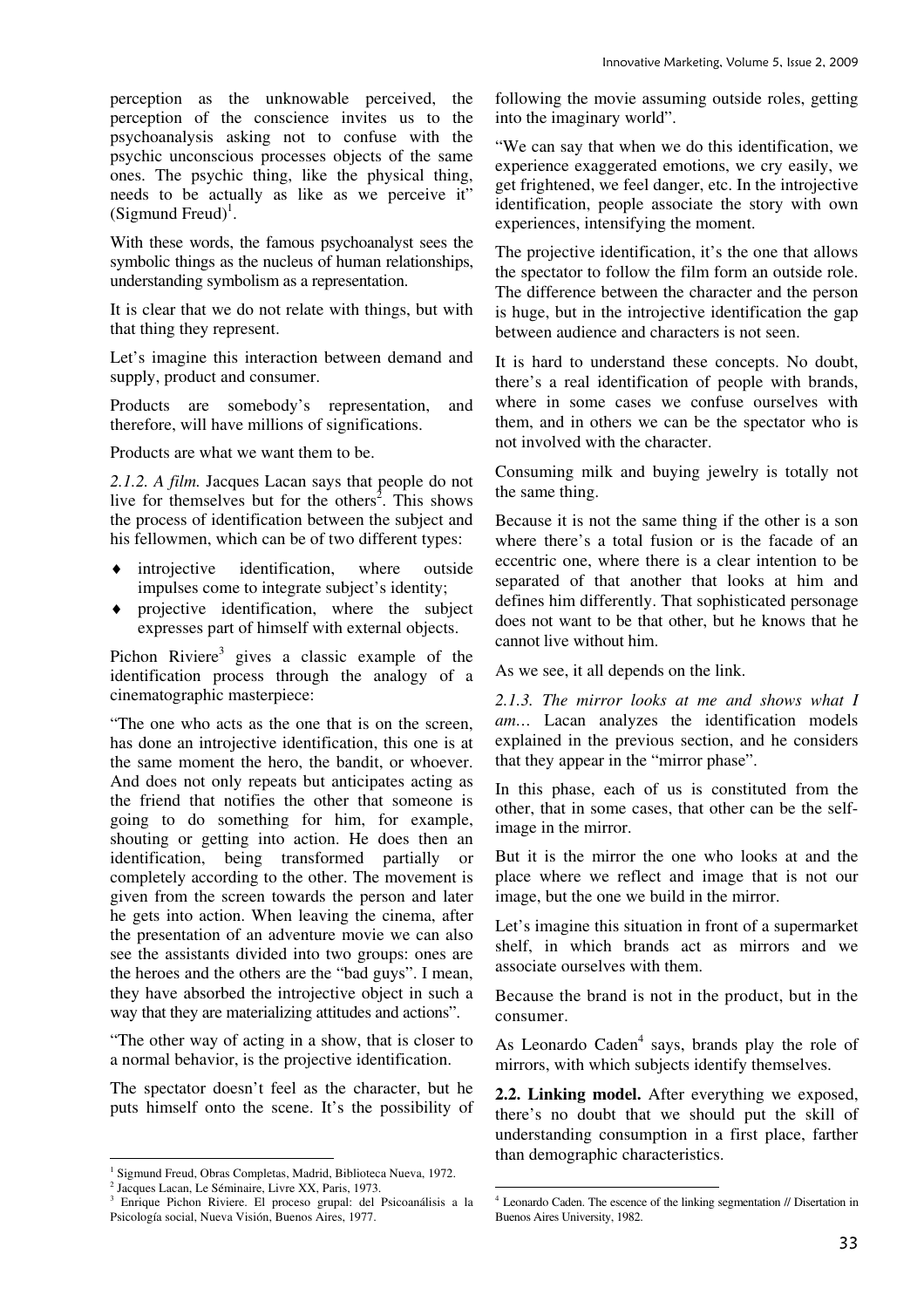perception as the unknowable perceived, the perception of the conscience invites us to the psychoanalysis asking not to confuse with the psychic unconscious processes objects of the same ones. The psychic thing, like the physical thing, needs to be actually as like as we perceive it" (Sigmund Freud)<sup>1</sup>.

With these words, the famous psychoanalyst sees the symbolic things as the nucleus of human relationships, understanding symbolism as a representation.

It is clear that we do not relate with things, but with that thing they represent.

Let's imagine this interaction between demand and supply, product and consumer.

Products are somebody's representation, and therefore, will have millions of significations.

Products are what we want them to be.

*2.1.2. A film.* Jacques Lacan says that people do not live for themselves but for the others<sup>2</sup>. This shows the process of identification between the subject and his fellowmen, which can be of two different types:

- ♦ introjective identification, where outside impulses come to integrate subject's identity;
- projective identification, where the subject expresses part of himself with external objects.

Pichon Riviere<sup>3</sup> gives a classic example of the identification process through the analogy of a cinematographic masterpiece:

"The one who acts as the one that is on the screen, has done an introjective identification, this one is at the same moment the hero, the bandit, or whoever. And does not only repeats but anticipates acting as the friend that notifies the other that someone is going to do something for him, for example, shouting or getting into action. He does then an identification, being transformed partially or completely according to the other. The movement is given from the screen towards the person and later he gets into action. When leaving the cinema, after the presentation of an adventure movie we can also see the assistants divided into two groups: ones are the heroes and the others are the "bad guys". I mean, they have absorbed the introjective object in such a way that they are materializing attitudes and actions".

"The other way of acting in a show, that is closer to a normal behavior, is the projective identification.

The spectator doesn't feel as the character, but he puts himself onto the scene. It's the possibility of following the movie assuming outside roles, getting into the imaginary world".

"We can say that when we do this identification, we experience exaggerated emotions, we cry easily, we get frightened, we feel danger, etc. In the introjective identification, people associate the story with own experiences, intensifying the moment.

The projective identification, it's the one that allows the spectator to follow the film form an outside role. The difference between the character and the person is huge, but in the introjective identification the gap between audience and characters is not seen.

It is hard to understand these concepts. No doubt, there's a real identification of people with brands, where in some cases we confuse ourselves with them, and in others we can be the spectator who is not involved with the character.

Consuming milk and buying jewelry is totally not the same thing.

Because it is not the same thing if the other is a son where there's a total fusion or is the facade of an eccentric one, where there is a clear intention to be separated of that another that looks at him and defines him differently. That sophisticated personage does not want to be that other, but he knows that he cannot live without him.

As we see, it all depends on the link.

*2.1.3. The mirror looks at me and shows what I am…* Lacan analyzes the identification models explained in the previous section, and he considers that they appear in the "mirror phase".

In this phase, each of us is constituted from the other, that in some cases, that other can be the selfimage in the mirror.

But it is the mirror the one who looks at and the place where we reflect and image that is not our image, but the one we build in the mirror.

Let's imagine this situation in front of a supermarket shelf, in which brands act as mirrors and we associate ourselves with them.

Because the brand is not in the product, but in the consumer.

As Leonardo Caden<sup>4</sup> says, brands play the role of mirrors, with which subjects identify themselves.

**2.2. Linking model.** After everything we exposed, there's no doubt that we should put the skill of understanding consumption in a first place, farther than demographic characteristics.

<sup>&</sup>lt;sup>1</sup> Sigmund Freud, Obras Completas, Madrid, Biblioteca Nueva, 1972.

<sup>2</sup> Jacques Lacan, Le Séminaire, Livre XX, Paris, 1973.

<sup>&</sup>lt;sup>3</sup> Enrique Pichon Riviere. El proceso grupal: del Psicoanálisis a la Psicología social, Nueva Visión, Buenos Aires, 1977.

 4 Leonardo Caden. The escence of the linking segmentation // Disertation in Buenos Aires University, 1982.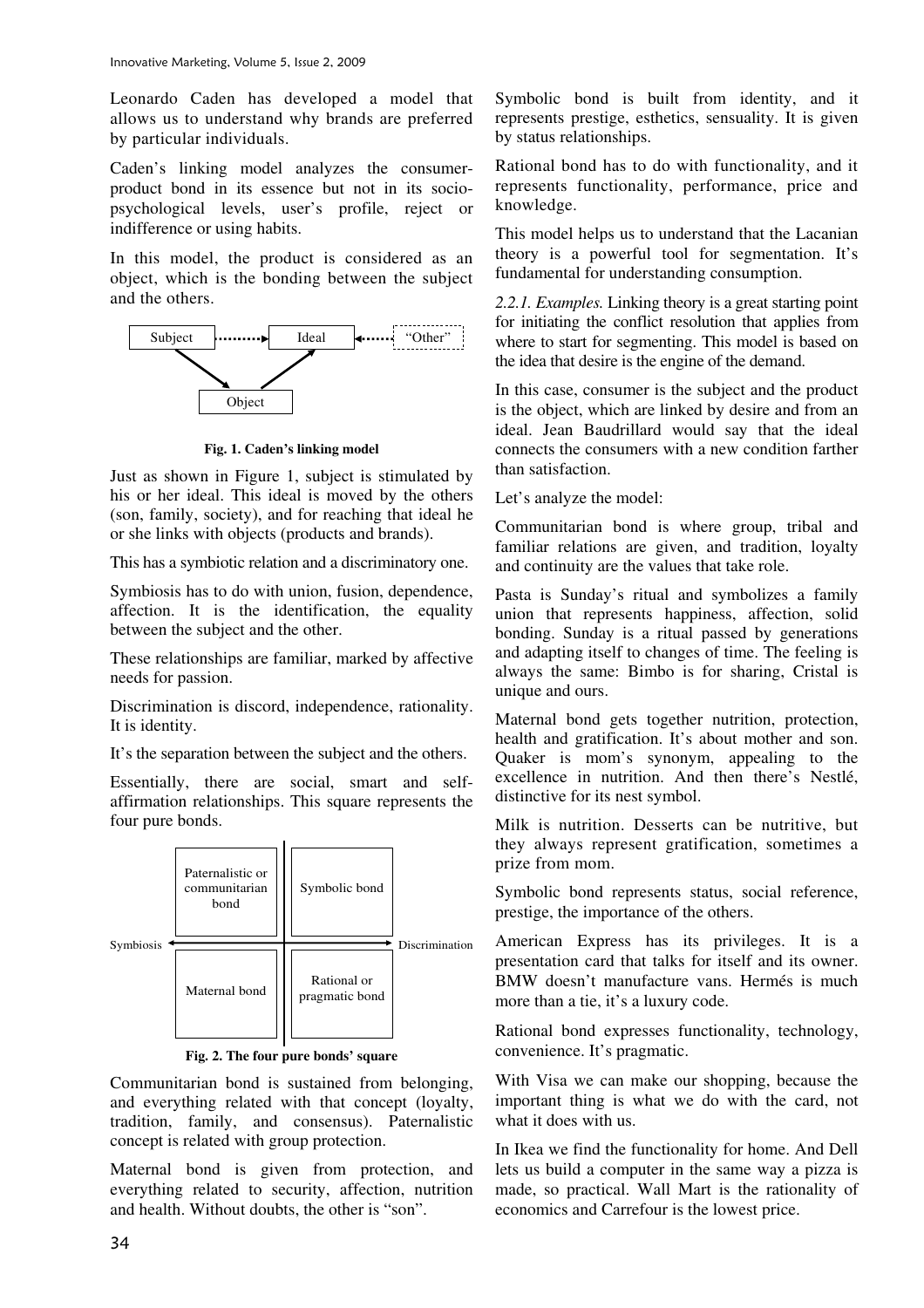Leonardo Caden has developed a model that allows us to understand why brands are preferred by particular individuals.

Caden's linking model analyzes the consumerproduct bond in its essence but not in its sociopsychological levels, user's profile, reject or indifference or using habits.

In this model, the product is considered as an object, which is the bonding between the subject and the others.



**Fig. 1. Caden's linking model** 

Just as shown in Figure 1, subject is stimulated by his or her ideal. This ideal is moved by the others (son, family, society), and for reaching that ideal he or she links with objects (products and brands).

This has a symbiotic relation and a discriminatory one.

Symbiosis has to do with union, fusion, dependence, affection. It is the identification, the equality between the subject and the other.

These relationships are familiar, marked by affective needs for passion.

Discrimination is discord, independence, rationality. It is identity.

It's the separation between the subject and the others.

Essentially, there are social, smart and selfaffirmation relationships. This square represents the four pure bonds.



**Fig. 2. The four pure bonds' square** 

Communitarian bond is sustained from belonging, and everything related with that concept (loyalty, tradition, family, and consensus). Paternalistic concept is related with group protection.

Maternal bond is given from protection, and everything related to security, affection, nutrition and health. Without doubts, the other is "son".

Symbolic bond is built from identity, and it represents prestige, esthetics, sensuality. It is given by status relationships.

Rational bond has to do with functionality, and it represents functionality, performance, price and knowledge.

This model helps us to understand that the Lacanian theory is a powerful tool for segmentation. It's fundamental for understanding consumption.

*2.2.1. Examples.* Linking theory is a great starting point for initiating the conflict resolution that applies from where to start for segmenting. This model is based on the idea that desire is the engine of the demand.

In this case, consumer is the subject and the product is the object, which are linked by desire and from an ideal. Jean Baudrillard would say that the ideal connects the consumers with a new condition farther than satisfaction.

Let's analyze the model:

Communitarian bond is where group, tribal and familiar relations are given, and tradition, loyalty and continuity are the values that take role.

Pasta is Sunday's ritual and symbolizes a family union that represents happiness, affection, solid bonding. Sunday is a ritual passed by generations and adapting itself to changes of time. The feeling is always the same: Bimbo is for sharing, Cristal is unique and ours.

Maternal bond gets together nutrition, protection, health and gratification. It's about mother and son. Quaker is mom's synonym, appealing to the excellence in nutrition. And then there's Nestlé, distinctive for its nest symbol.

Milk is nutrition. Desserts can be nutritive, but they always represent gratification, sometimes a prize from mom.

Symbolic bond represents status, social reference, prestige, the importance of the others.

American Express has its privileges. It is a presentation card that talks for itself and its owner. BMW doesn't manufacture vans. Hermés is much more than a tie, it's a luxury code.

Rational bond expresses functionality, technology, convenience. It's pragmatic.

With Visa we can make our shopping, because the important thing is what we do with the card, not what it does with us.

In Ikea we find the functionality for home. And Dell lets us build a computer in the same way a pizza is made, so practical. Wall Mart is the rationality of economics and Carrefour is the lowest price.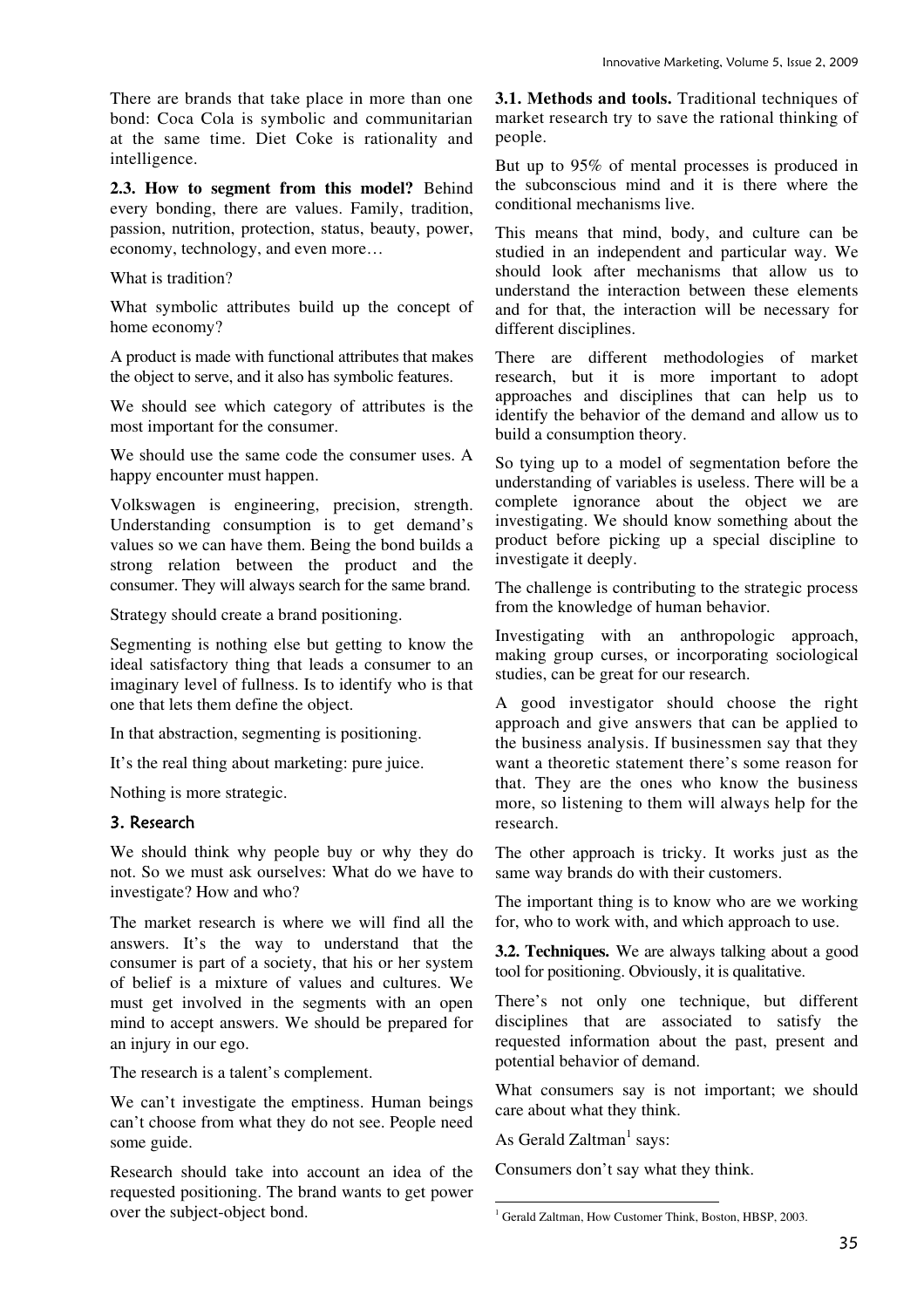There are brands that take place in more than one bond: Coca Cola is symbolic and communitarian at the same time. Diet Coke is rationality and intelligence.

**2.3. How to segment from this model?** Behind every bonding, there are values. Family, tradition, passion, nutrition, protection, status, beauty, power, economy, technology, and even more…

What is tradition?

What symbolic attributes build up the concept of home economy?

A product is made with functional attributes that makes the object to serve, and it also has symbolic features.

We should see which category of attributes is the most important for the consumer.

We should use the same code the consumer uses. A happy encounter must happen.

Volkswagen is engineering, precision, strength. Understanding consumption is to get demand's values so we can have them. Being the bond builds a strong relation between the product and the consumer. They will always search for the same brand.

Strategy should create a brand positioning.

Segmenting is nothing else but getting to know the ideal satisfactory thing that leads a consumer to an imaginary level of fullness. Is to identify who is that one that lets them define the object.

In that abstraction, segmenting is positioning.

It's the real thing about marketing: pure juice.

Nothing is more strategic.

#### 3. Research

We should think why people buy or why they do not. So we must ask ourselves: What do we have to investigate? How and who?

The market research is where we will find all the answers. It's the way to understand that the consumer is part of a society, that his or her system of belief is a mixture of values and cultures. We must get involved in the segments with an open mind to accept answers. We should be prepared for an injury in our ego.

The research is a talent's complement.

We can't investigate the emptiness. Human beings can't choose from what they do not see. People need some guide.

Research should take into account an idea of the requested positioning. The brand wants to get power over the subject-object bond.

**3.1. Methods and tools.** Traditional techniques of market research try to save the rational thinking of people.

But up to 95% of mental processes is produced in the subconscious mind and it is there where the conditional mechanisms live.

This means that mind, body, and culture can be studied in an independent and particular way. We should look after mechanisms that allow us to understand the interaction between these elements and for that, the interaction will be necessary for different disciplines.

There are different methodologies of market research, but it is more important to adopt approaches and disciplines that can help us to identify the behavior of the demand and allow us to build a consumption theory.

So tying up to a model of segmentation before the understanding of variables is useless. There will be a complete ignorance about the object we are investigating. We should know something about the product before picking up a special discipline to investigate it deeply.

The challenge is contributing to the strategic process from the knowledge of human behavior.

Investigating with an anthropologic approach, making group curses, or incorporating sociological studies, can be great for our research.

A good investigator should choose the right approach and give answers that can be applied to the business analysis. If businessmen say that they want a theoretic statement there's some reason for that. They are the ones who know the business more, so listening to them will always help for the research.

The other approach is tricky. It works just as the same way brands do with their customers.

The important thing is to know who are we working for, who to work with, and which approach to use.

**3.2. Techniques.** We are always talking about a good tool for positioning. Obviously, it is qualitative.

There's not only one technique, but different disciplines that are associated to satisfy the requested information about the past, present and potential behavior of demand.

What consumers say is not important; we should care about what they think.

As Gerald  $Zaltman<sup>1</sup> says:$ 

Consumers don't say what they think.

 1 Gerald Zaltman, How Customer Think, Boston, HBSP, 2003.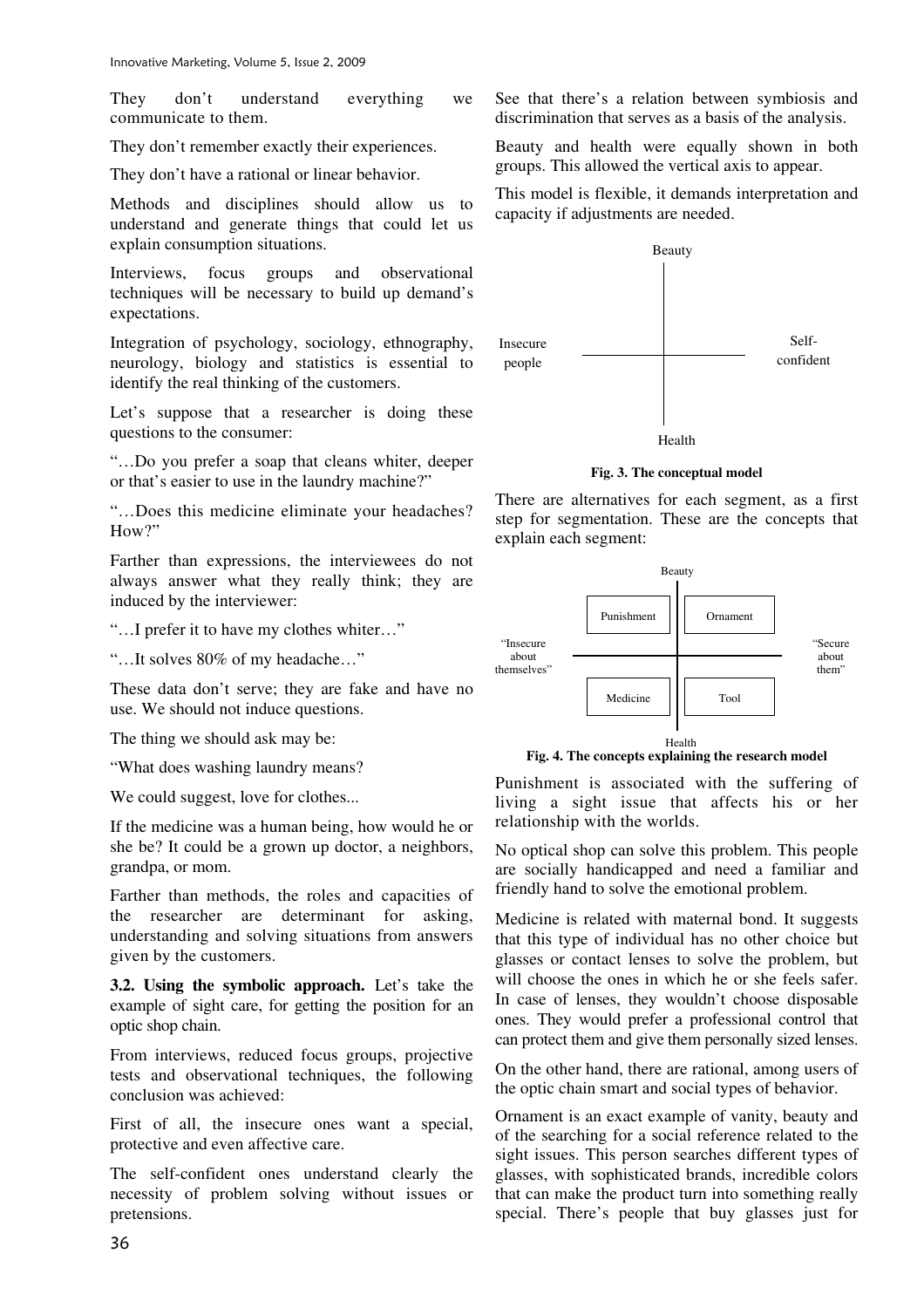They don't understand everything we communicate to them.

They don't remember exactly their experiences.

They don't have a rational or linear behavior.

Methods and disciplines should allow us to understand and generate things that could let us explain consumption situations.

Interviews, focus groups and observational techniques will be necessary to build up demand's expectations.

Integration of psychology, sociology, ethnography, neurology, biology and statistics is essential to identify the real thinking of the customers.

Let's suppose that a researcher is doing these questions to the consumer:

"…Do you prefer a soap that cleans whiter, deeper or that's easier to use in the laundry machine?"

"…Does this medicine eliminate your headaches? How?"

Farther than expressions, the interviewees do not always answer what they really think; they are induced by the interviewer:

"…I prefer it to have my clothes whiter…"

"…It solves 80% of my headache…"

These data don't serve; they are fake and have no use. We should not induce questions.

The thing we should ask may be:

"What does washing laundry means?

We could suggest, love for clothes...

If the medicine was a human being, how would he or she be? It could be a grown up doctor, a neighbors, grandpa, or mom.

Farther than methods, the roles and capacities of the researcher are determinant for asking, understanding and solving situations from answers given by the customers.

**3.2. Using the symbolic approach.** Let's take the example of sight care, for getting the position for an optic shop chain.

From interviews, reduced focus groups, projective tests and observational techniques, the following conclusion was achieved:

First of all, the insecure ones want a special, protective and even affective care.

The self-confident ones understand clearly the necessity of problem solving without issues or pretensions.

See that there's a relation between symbiosis and discrimination that serves as a basis of the analysis.

Beauty and health were equally shown in both groups. This allowed the vertical axis to appear.

This model is flexible, it demands interpretation and capacity if adjustments are needed.



**Fig. 3. The conceptual model** 

There are alternatives for each segment, as a first step for segmentation. These are the concepts that explain each segment:



**Fig. 4. The concepts explaining the research model** 

Punishment is associated with the suffering of living a sight issue that affects his or her relationship with the worlds.

No optical shop can solve this problem. This people are socially handicapped and need a familiar and friendly hand to solve the emotional problem.

Medicine is related with maternal bond. It suggests that this type of individual has no other choice but glasses or contact lenses to solve the problem, but will choose the ones in which he or she feels safer. In case of lenses, they wouldn't choose disposable ones. They would prefer a professional control that can protect them and give them personally sized lenses.

On the other hand, there are rational, among users of the optic chain smart and social types of behavior.

Ornament is an exact example of vanity, beauty and of the searching for a social reference related to the sight issues. This person searches different types of glasses, with sophisticated brands, incredible colors that can make the product turn into something really special. There's people that buy glasses just for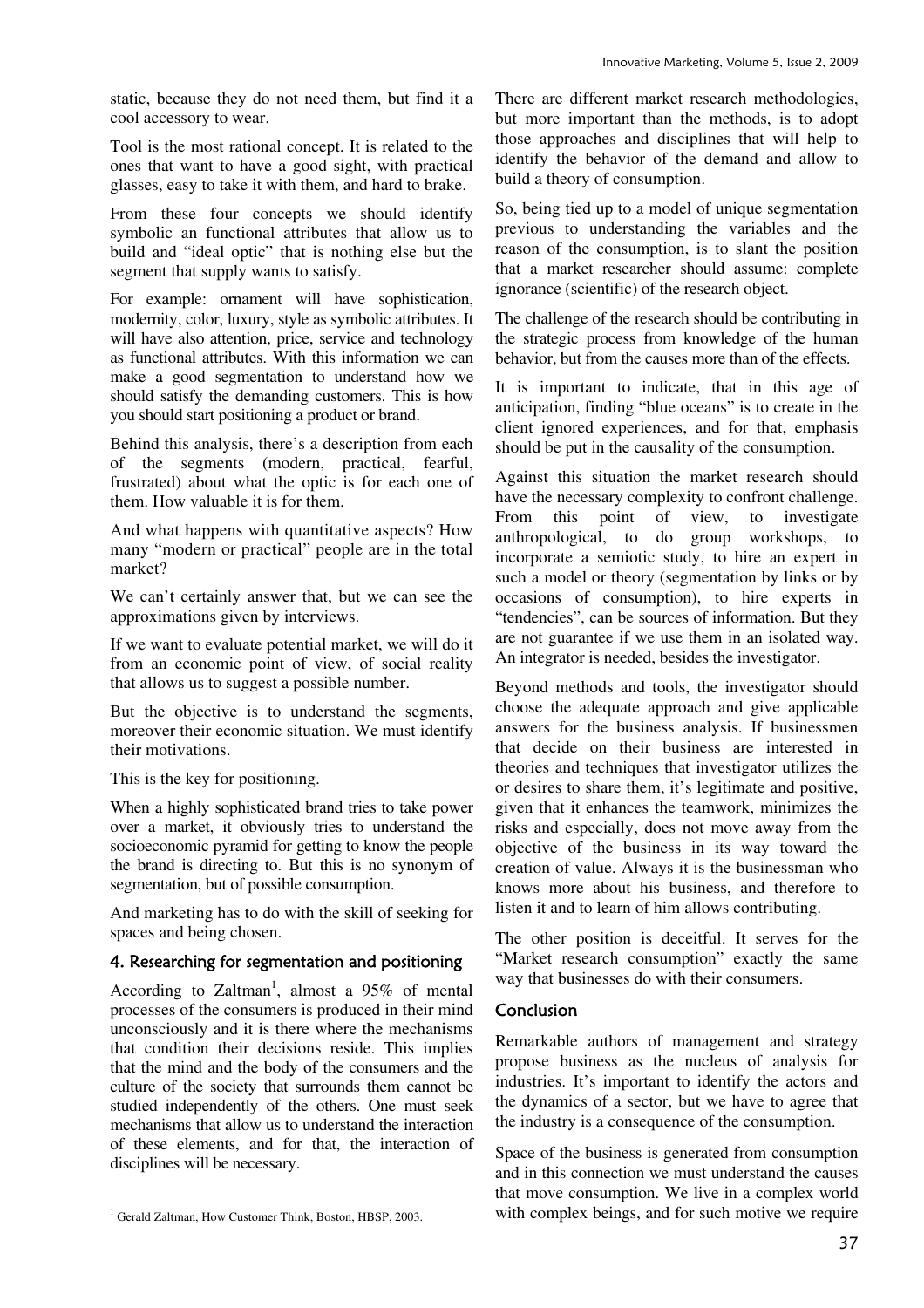static, because they do not need them, but find it a cool accessory to wear.

Tool is the most rational concept. It is related to the ones that want to have a good sight, with practical glasses, easy to take it with them, and hard to brake.

From these four concepts we should identify symbolic an functional attributes that allow us to build and "ideal optic" that is nothing else but the segment that supply wants to satisfy.

For example: ornament will have sophistication, modernity, color, luxury, style as symbolic attributes. It will have also attention, price, service and technology as functional attributes. With this information we can make a good segmentation to understand how we should satisfy the demanding customers. This is how you should start positioning a product or brand.

Behind this analysis, there's a description from each of the segments (modern, practical, fearful, frustrated) about what the optic is for each one of them. How valuable it is for them.

And what happens with quantitative aspects? How many "modern or practical" people are in the total market?

We can't certainly answer that, but we can see the approximations given by interviews.

If we want to evaluate potential market, we will do it from an economic point of view, of social reality that allows us to suggest a possible number.

But the objective is to understand the segments, moreover their economic situation. We must identify their motivations.

This is the key for positioning.

When a highly sophisticated brand tries to take power over a market, it obviously tries to understand the socioeconomic pyramid for getting to know the people the brand is directing to. But this is no synonym of segmentation, but of possible consumption.

And marketing has to do with the skill of seeking for spaces and being chosen.

### 4. Researching for segmentation and positioning

According to Zaltman<sup>1</sup>, almost a  $95\%$  of mental processes of the consumers is produced in their mind unconsciously and it is there where the mechanisms that condition their decisions reside. This implies that the mind and the body of the consumers and the culture of the society that surrounds them cannot be studied independently of the others. One must seek mechanisms that allow us to understand the interaction of these elements, and for that, the interaction of disciplines will be necessary.

1 Gerald Zaltman, How Customer Think, Boston, HBSP, 2003.

There are different market research methodologies, but more important than the methods, is to adopt those approaches and disciplines that will help to identify the behavior of the demand and allow to build a theory of consumption.

So, being tied up to a model of unique segmentation previous to understanding the variables and the reason of the consumption, is to slant the position that a market researcher should assume: complete ignorance (scientific) of the research object.

The challenge of the research should be contributing in the strategic process from knowledge of the human behavior, but from the causes more than of the effects.

It is important to indicate, that in this age of anticipation, finding "blue oceans" is to create in the client ignored experiences, and for that, emphasis should be put in the causality of the consumption.

Against this situation the market research should have the necessary complexity to confront challenge. From this point of view, to investigate anthropological, to do group workshops, to incorporate a semiotic study, to hire an expert in such a model or theory (segmentation by links or by occasions of consumption), to hire experts in "tendencies", can be sources of information. But they are not guarantee if we use them in an isolated way. An integrator is needed, besides the investigator.

Beyond methods and tools, the investigator should choose the adequate approach and give applicable answers for the business analysis. If businessmen that decide on their business are interested in theories and techniques that investigator utilizes the or desires to share them, it's legitimate and positive, given that it enhances the teamwork, minimizes the risks and especially, does not move away from the objective of the business in its way toward the creation of value. Always it is the businessman who knows more about his business, and therefore to listen it and to learn of him allows contributing.

The other position is deceitful. It serves for the "Market research consumption" exactly the same way that businesses do with their consumers.

#### Conclusion

Remarkable authors of management and strategy propose business as the nucleus of analysis for industries. It's important to identify the actors and the dynamics of a sector, but we have to agree that the industry is a consequence of the consumption.

Space of the business is generated from consumption and in this connection we must understand the causes that move consumption. We live in a complex world with complex beings, and for such motive we require